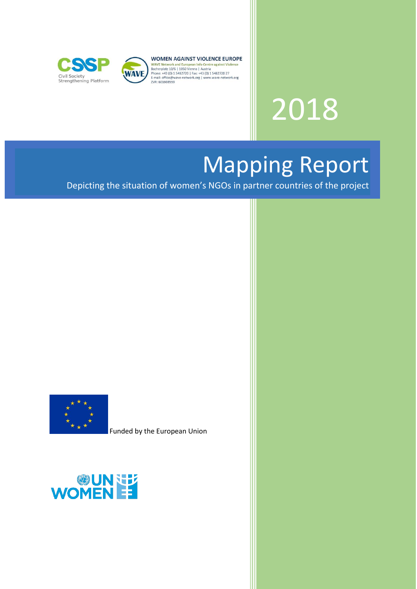



**WOMEN AGAINST VIOLENCE EUROPE** 

**WOMEN AGAINST VIOLENCE EUROP**<br>WAVE Network and European Info Centre against Violence<br>Bacherplatz 10/6 | 1050 Vienna | Austria<br>Phone: +43 (0) 1 5482720 | Fax: +43 (0) 1 5482720 27<br>E-mail: office@wave-network.org | www.wave ZVR: 601608559

# 2018

Mapping Report

Depicting the situation of women's NGOs in partner countries of the project



Funded by the European Union

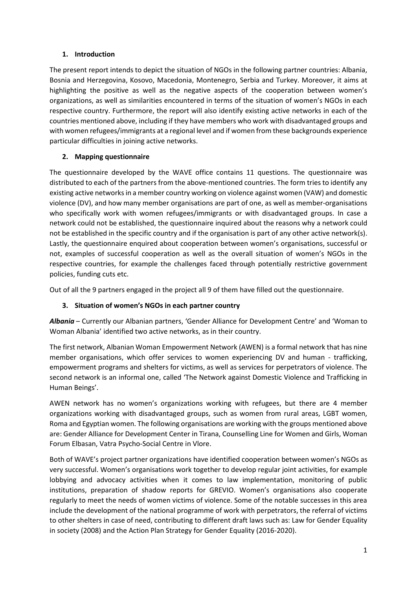## **1. Introduction**

The present report intends to depict the situation of NGOs in the following partner countries: Albania, Bosnia and Herzegovina, Kosovo, Macedonia, Montenegro, Serbia and Turkey. Moreover, it aims at highlighting the positive as well as the negative aspects of the cooperation between women's organizations, as well as similarities encountered in terms of the situation of women's NGOs in each respective country. Furthermore, the report will also identify existing active networks in each of the countries mentioned above, including if they have members who work with disadvantaged groups and with women refugees/immigrants at a regional level and if women from these backgrounds experience particular difficulties in joining active networks.

## **2. Mapping questionnaire**

The questionnaire developed by the WAVE office contains 11 questions. The questionnaire was distributed to each of the partners from the above-mentioned countries. The form tries to identify any existing active networks in a member country working on violence against women (VAW) and domestic violence (DV), and how many member organisations are part of one, as well as member-organisations who specifically work with women refugees/immigrants or with disadvantaged groups. In case a network could not be established, the questionnaire inquired about the reasons why a network could not be established in the specific country and if the organisation is part of any other active network(s). Lastly, the questionnaire enquired about cooperation between women's organisations, successful or not, examples of successful cooperation as well as the overall situation of women's NGOs in the respective countries, for example the challenges faced through potentially restrictive government policies, funding cuts etc.

Out of all the 9 partners engaged in the project all 9 of them have filled out the questionnaire.

## **3. Situation of women's NGOs in each partner country**

*Albania* – Currently our Albanian partners, 'Gender Alliance for Development Centre' and 'Woman to Woman Albania' identified two active networks, as in their country.

The first network, Albanian Woman Empowerment Network (AWEN) is a formal network that has nine member organisations, which offer services to women experiencing DV and human - trafficking, empowerment programs and shelters for victims, as well as services for perpetrators of violence. The second network is an informal one, called 'The Network against Domestic Violence and Trafficking in Human Beings'.

AWEN network has no women's organizations working with refugees, but there are 4 member organizations working with disadvantaged groups, such as women from rural areas, LGBT women, Roma and Egyptian women. The following organisations are working with the groups mentioned above are: Gender Alliance for Development Center in Tirana, Counselling Line for Women and Girls, Woman Forum Elbasan, Vatra Psycho-Social Centre in Vlore.

Both of WAVE's project partner organizations have identified cooperation between women's NGOs as very successful. Women's organisations work together to develop regular joint activities, for example lobbying and advocacy activities when it comes to law implementation, monitoring of public institutions, preparation of shadow reports for GREVIO. Women's organisations also cooperate regularly to meet the needs of women victims of violence. Some of the notable successes in this area include the development of the national programme of work with perpetrators, the referral of victims to other shelters in case of need, contributing to different draft laws such as: Law for Gender Equality in society (2008) and the Action Plan Strategy for Gender Equality (2016-2020).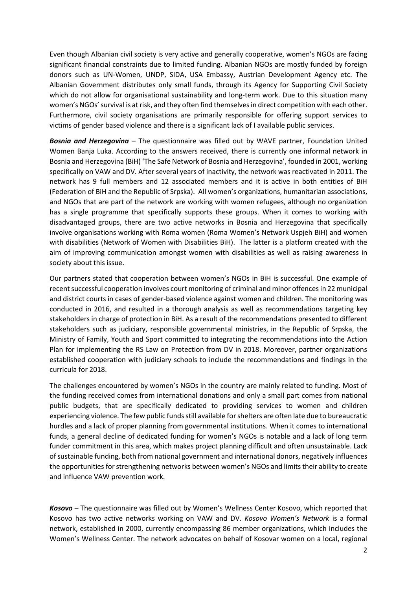Even though Albanian civil society is very active and generally cooperative, women's NGOs are facing significant financial constraints due to limited funding. Albanian NGOs are mostly funded by foreign donors such as UN-Women, UNDP, SIDA, USA Embassy, Austrian Development Agency etc. The Albanian Government distributes only small funds, through its Agency for Supporting Civil Society which do not allow for organisational sustainability and long-term work. Due to this situation many women's NGOs'survival is at risk, and they often find themselves in direct competition with each other. Furthermore, civil society organisations are primarily responsible for offering support services to victims of gender based violence and there is a significant lack of I available public services.

*Bosnia and Herzegovina* – The questionnaire was filled out by WAVE partner, Foundation United Women Banja Luka. According to the answers received, there is currently one informal network in Bosnia and Herzegovina (BiH) 'The Safe Network of Bosnia and Herzegovina', founded in 2001, working specifically on VAW and DV. After several years of inactivity, the network was reactivated in 2011. The network has 9 full members and 12 associated members and it is active in both entities of BiH (Federation of BiH and the Republic of Srpska). All women's organizations, humanitarian associations, and NGOs that are part of the network are working with women refugees, although no organization has a single programme that specifically supports these groups. When it comes to working with disadvantaged groups, there are two active networks in Bosnia and Herzegovina that specifically involve organisations working with Roma women (Roma Women's Network Uspjeh BiH) and women with disabilities (Network of Women with Disabilities BiH). The latter is a platform created with the aim of improving communication amongst women with disabilities as well as raising awareness in society about this issue.

Our partners stated that cooperation between women's NGOs in BiH is successful. One example of recent successful cooperation involves court monitoring of criminal and minor offences in 22 municipal and district courts in cases of gender-based violence against women and children. The monitoring was conducted in 2016, and resulted in a thorough analysis as well as recommendations targeting key stakeholders in charge of protection in BiH. As a result of the recommendations presented to different stakeholders such as judiciary, responsible governmental ministries, in the Republic of Srpska, the Ministry of Family, Youth and Sport committed to integrating the recommendations into the Action Plan for implementing the RS Law on Protection from DV in 2018. Moreover, partner organizations established cooperation with judiciary schools to include the recommendations and findings in the curricula for 2018.

The challenges encountered by women's NGOs in the country are mainly related to funding. Most of the funding received comes from international donations and only a small part comes from national public budgets, that are specifically dedicated to providing services to women and children experiencing violence. The few public funds still available for shelters are often late due to bureaucratic hurdles and a lack of proper planning from governmental institutions. When it comes to international funds, a general decline of dedicated funding for women's NGOs is notable and a lack of long term funder commitment in this area, which makes project planning difficult and often unsustainable. Lack of sustainable funding, both from national government and international donors, negatively influences the opportunities for strengthening networks between women's NGOs and limits their ability to create and influence VAW prevention work.

*Kosovo* – The questionnaire was filled out by Women's Wellness Center Kosovo, which reported that Kosovo has two active networks working on VAW and DV. *Kosovo Women's Network* is a formal network, established in 2000, currently encompassing 86 member organizations, which includes the Women's Wellness Center. The network advocates on behalf of Kosovar women on a local, regional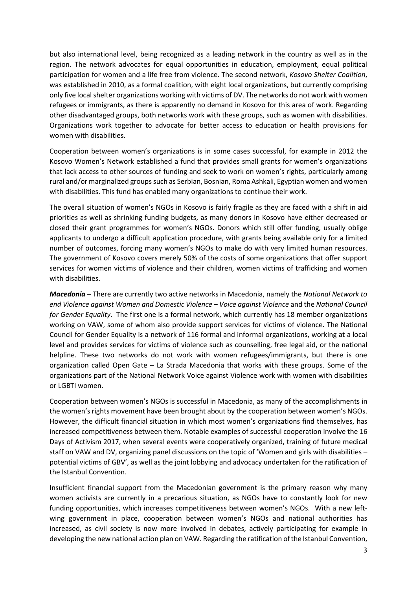but also international level, being recognized as a leading network in the country as well as in the region. The network advocates for equal opportunities in education, employment, equal political participation for women and a life free from violence. The second network, *Kosovo Shelter Coalition*, was established in 2010, as a formal coalition, with eight local organizations, but currently comprising only five local shelter organizations working with victims of DV. The networks do not work with women refugees or immigrants, as there is apparently no demand in Kosovo for this area of work. Regarding other disadvantaged groups, both networks work with these groups, such as women with disabilities. Organizations work together to advocate for better access to education or health provisions for women with disabilities.

Cooperation between women's organizations is in some cases successful, for example in 2012 the Kosovo Women's Network established a fund that provides small grants for women's organizations that lack access to other sources of funding and seek to work on women's rights, particularly among rural and/or marginalized groups such as Serbian, Bosnian, Roma Ashkali, Egyptian women and women with disabilities. This fund has enabled many organizations to continue their work.

The overall situation of women's NGOs in Kosovo is fairly fragile as they are faced with a shift in aid priorities as well as shrinking funding budgets, as many donors in Kosovo have either decreased or closed their grant programmes for women's NGOs. Donors which still offer funding, usually oblige applicants to undergo a difficult application procedure, with grants being available only for a limited number of outcomes, forcing many women's NGOs to make do with very limited human resources. The government of Kosovo covers merely 50% of the costs of some organizations that offer support services for women victims of violence and their children, women victims of trafficking and women with disabilities.

*Macedonia* **–** There are currently two active networks in Macedonia, namely the *National Network to end Violence against Women and Domestic Violence* – *Voice against Violence* and the *National Council for Gender Equality*. The first one is a formal network, which currently has 18 member organizations working on VAW, some of whom also provide support services for victims of violence. The National Council for Gender Equality is a network of 116 formal and informal organizations, working at a local level and provides services for victims of violence such as counselling, free legal aid, or the national helpline. These two networks do not work with women refugees/immigrants, but there is one organization called Open Gate – La Strada Macedonia that works with these groups. Some of the organizations part of the National Network Voice against Violence work with women with disabilities or LGBTI women.

Cooperation between women's NGOs is successful in Macedonia, as many of the accomplishments in the women's rights movement have been brought about by the cooperation between women's NGOs. However, the difficult financial situation in which most women's organizations find themselves, has increased competitiveness between them. Notable examples of successful cooperation involve the 16 Days of Activism 2017, when several events were cooperatively organized, training of future medical staff on VAW and DV, organizing panel discussions on the topic of 'Women and girls with disabilities – potential victims of GBV', as well as the joint lobbying and advocacy undertaken for the ratification of the Istanbul Convention.

Insufficient financial support from the Macedonian government is the primary reason why many women activists are currently in a precarious situation, as NGOs have to constantly look for new funding opportunities, which increases competitiveness between women's NGOs. With a new leftwing government in place, cooperation between women's NGOs and national authorities has increased, as civil society is now more involved in debates, actively participating for example in developing the new national action plan on VAW. Regarding the ratification of the Istanbul Convention,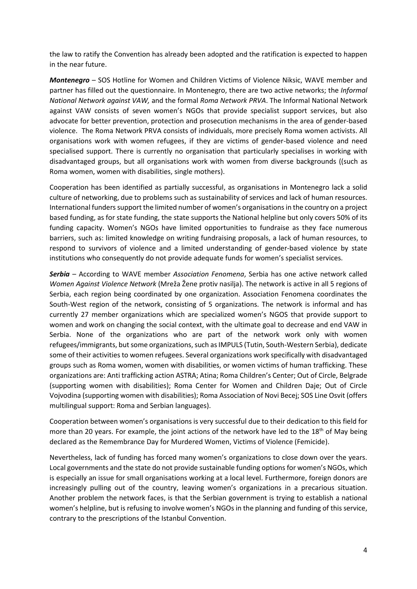the law to ratify the Convention has already been adopted and the ratification is expected to happen in the near future.

*Montenegro* – SOS Hotline for Women and Children Victims of Violence Niksic, WAVE member and partner has filled out the questionnaire. In Montenegro, there are two active networks; the *Informal National Network against VAW,* and the formal *Roma Network PRVA*. The Informal National Network against VAW consists of seven women's NGOs that provide specialist support services, but also advocate for better prevention, protection and prosecution mechanisms in the area of gender-based violence. The Roma Network PRVA consists of individuals, more precisely Roma women activists. All organisations work with women refugees, if they are victims of gender-based violence and need specialised support. There is currently no organisation that particularly specialises in working with disadvantaged groups, but all organisations work with women from diverse backgrounds ((such as Roma women, women with disabilities, single mothers).

Cooperation has been identified as partially successful, as organisations in Montenegro lack a solid culture of networking, due to problems such as sustainability of services and lack of human resources. International funders support the limited number of women's organisations in the country on a project based funding, as for state funding, the state supports the National helpline but only covers 50% of its funding capacity. Women's NGOs have limited opportunities to fundraise as they face numerous barriers, such as: limited knowledge on writing fundraising proposals, a lack of human resources, to respond to survivors of violence and a limited understanding of gender-based violence by state institutions who consequently do not provide adequate funds for women's specialist services.

*Serbia* – According to WAVE member *Association Fenomena*, Serbia has one active network called *Women Against Violence Network* (Mreža Žene protiv nasilja). The network is active in all 5 regions of Serbia, each region being coordinated by one organization. Association Fenomena coordinates the South-West region of the network, consisting of 5 organizations. The network is informal and has currently 27 member organizations which are specialized women's NGOS that provide support to women and work on changing the social context, with the ultimate goal to decrease and end VAW in Serbia. None of the organizations who are part of the network work only with women refugees/immigrants, but some organizations, such as IMPULS (Tutin, South-Western Serbia), dedicate some of their activities to women refugees. Several organizations work specifically with disadvantaged groups such as Roma women, women with disabilities, or women victims of human trafficking. These organizations are: Anti trafficking action ASTRA; Atina; Roma Children's Center; Out of Circle, Belgrade (supporting women with disabilities); Roma Center for Women and Children Daje; Out of Circle Vojvodina (supporting women with disabilities); Roma Association of Novi Becej; SOS Line Osvit (offers multilingual support: Roma and Serbian languages).

Cooperation between women's organisations is very successful due to their dedication to this field for more than 20 years. For example, the joint actions of the network have led to the 18<sup>th</sup> of May being declared as the Remembrance Day for Murdered Women, Victims of Violence (Femicide).

Nevertheless, lack of funding has forced many women's organizations to close down over the years. Local governments and the state do not provide sustainable funding options for women's NGOs, which is especially an issue for small organisations working at a local level. Furthermore, foreign donors are increasingly pulling out of the country, leaving women's organizations in a precarious situation. Another problem the network faces, is that the Serbian government is trying to establish a national women's helpline, but is refusing to involve women's NGOs in the planning and funding of this service, contrary to the prescriptions of the Istanbul Convention.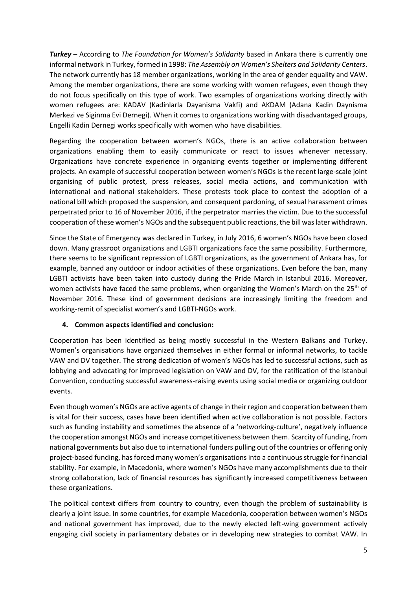*Turkey* – According to *The Foundation for Women's Solidarity* based in Ankara there is currently one informal network in Turkey, formed in 1998: *The Assembly on Women's Shelters and Solidarity Centers*. The network currently has 18 member organizations, working in the area of gender equality and VAW. Among the member organizations, there are some working with women refugees, even though they do not focus specifically on this type of work. Two examples of organizations working directly with women refugees are: KADAV (Kadinlarla Dayanisma Vakfi) and AKDAM (Adana Kadin Daynisma Merkezi ve Siginma Evi Dernegi). When it comes to organizations working with disadvantaged groups, Engelli Kadin Dernegi works specifically with women who have disabilities.

Regarding the cooperation between women's NGOs, there is an active collaboration between organizations enabling them to easily communicate or react to issues whenever necessary. Organizations have concrete experience in organizing events together or implementing different projects. An example of successful cooperation between women's NGOs is the recent large-scale joint organising of public protest, press releases, social media actions, and communication with international and national stakeholders. These protests took place to contest the adoption of a national bill which proposed the suspension, and consequent pardoning, of sexual harassment crimes perpetrated prior to 16 of November 2016, if the perpetrator marries the victim. Due to the successful cooperation of these women's NGOs and the subsequent public reactions, the bill was later withdrawn.

Since the State of Emergency was declared in Turkey, in July 2016, 6 women's NGOs have been closed down. Many grassroot organizations and LGBTI organizations face the same possibility. Furthermore, there seems to be significant repression of LGBTI organizations, as the government of Ankara has, for example, banned any outdoor or indoor activities of these organizations. Even before the ban, many LGBTI activists have been taken into custody during the Pride March in Istanbul 2016. Moreover, women activists have faced the same problems, when organizing the Women's March on the 25<sup>th</sup> of November 2016. These kind of government decisions are increasingly limiting the freedom and working-remit of specialist women's and LGBTI-NGOs work.

### **4. Common aspects identified and conclusion:**

Cooperation has been identified as being mostly successful in the Western Balkans and Turkey. Women's organisations have organized themselves in either formal or informal networks, to tackle VAW and DV together. The strong dedication of women's NGOs has led to successful actions, such as lobbying and advocating for improved legislation on VAW and DV, for the ratification of the Istanbul Convention, conducting successful awareness-raising events using social media or organizing outdoor events.

Even though women's NGOs are active agents of change in their region and cooperation between them is vital for their success, cases have been identified when active collaboration is not possible. Factors such as funding instability and sometimes the absence of a 'networking-culture', negatively influence the cooperation amongst NGOs and increase competitiveness between them. Scarcity of funding, from national governments but also due to international funders pulling out of the countries or offering only project-based funding, has forced many women's organisations into a continuous struggle for financial stability. For example, in Macedonia, where women's NGOs have many accomplishments due to their strong collaboration, lack of financial resources has significantly increased competitiveness between these organizations.

The political context differs from country to country, even though the problem of sustainability is clearly a joint issue. In some countries, for example Macedonia, cooperation between women's NGOs and national government has improved, due to the newly elected left-wing government actively engaging civil society in parliamentary debates or in developing new strategies to combat VAW. In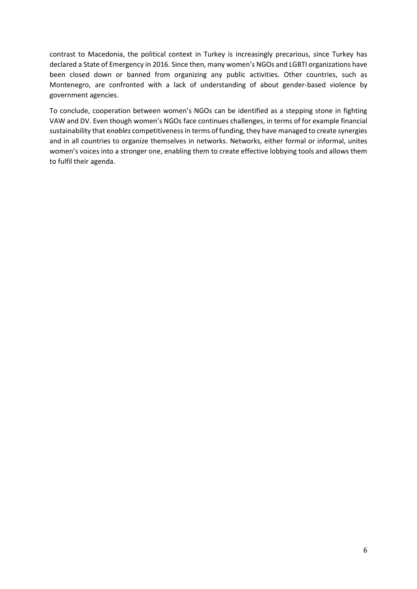contrast to Macedonia, the political context in Turkey is increasingly precarious, since Turkey has declared a State of Emergency in 2016. Since then, many women's NGOs and LGBTI organizations have been closed down or banned from organizing any public activities. Other countries, such as Montenegro, are confronted with a lack of understanding of about gender-based violence by government agencies.

To conclude, cooperation between women's NGOs can be identified as a stepping stone in fighting VAW and DV. Even though women's NGOs face continues challenges, in terms of for example financial sustainability that e*nables* competitiveness in terms of funding, they have managed to create synergies and in all countries to organize themselves in networks. Networks, either formal or informal, unites women's voices into a stronger one, enabling them to create effective lobbying tools and allows them to fulfil their agenda.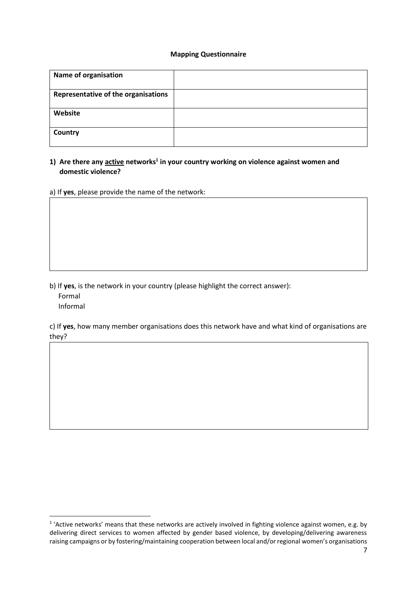#### **Mapping Questionnaire**

| <b>Name of organisation</b>         |  |
|-------------------------------------|--|
| Representative of the organisations |  |
| Website                             |  |
| Country                             |  |

#### **1) Are there any active networks<sup>1</sup> in your country working on violence against women and domestic violence?**

a) If **yes**, please provide the name of the network:

- b) If **yes**, is the network in your country (please highlight the correct answer):
	- Formal

**.** 

Informal

c) If **yes**, how many member organisations does this network have and what kind of organisations are they?

<sup>&</sup>lt;sup>1</sup> 'Active networks' means that these networks are actively involved in fighting violence against women, e.g. by delivering direct services to women affected by gender based violence, by developing/delivering awareness raising campaigns or by fostering/maintaining cooperation between local and/or regional women's organisations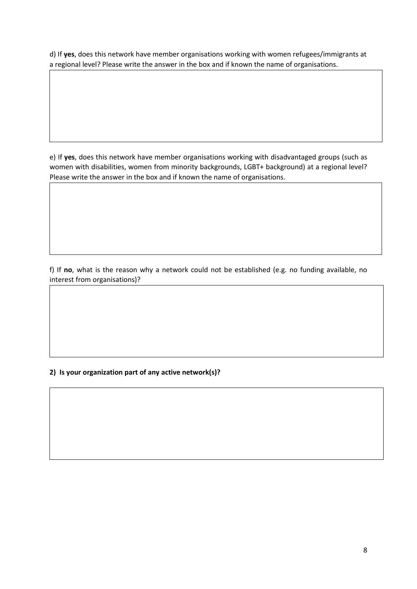d) If **yes**, does this network have member organisations working with women refugees/immigrants at a regional level? Please write the answer in the box and if known the name of organisations.

e) If **yes**, does this network have member organisations working with disadvantaged groups (such as women with disabilities, women from minority backgrounds, LGBT+ background) at a regional level? Please write the answer in the box and if known the name of organisations.

f) If **no**, what is the reason why a network could not be established (e.g. no funding available, no interest from organisations)?

### **2) Is your organization part of any active network(s)?**